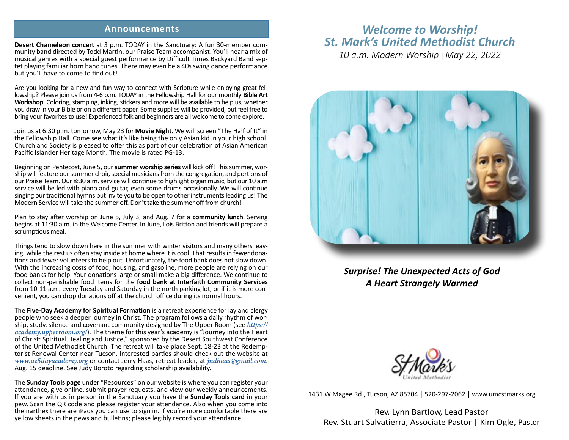## **Announcements**

**Desert Chameleon concert** at 3 p.m. TODAY in the Sanctuary: A fun 30-member community band directed by Todd Martin, our Praise Team accompanist. You'll hear a mix of musical genres with a special guest performance by Difficult Times Backyard Band septet playing familiar horn band tunes. There may even be a 40s swing dance performance but you'll have to come to find out!

Are you looking for a new and fun way to connect with Scripture while enjoying great fellowship? Please join us from 4-6 p.m. TODAY in the Fellowship Hall for our monthly **Bible Art Workshop**. Coloring, stamping, inking, stickers and more will be available to help us, whether you draw in your Bible or on a different paper. Some supplies will be provided, but feel free to bring your favorites to use! Experienced folk and beginners are all welcome to come explore.

Join us at 6:30 p.m. tomorrow, May 23 for **Movie Night**. We will screen "The Half of It" in the Fellowship Hall. Come see what it's like being the only Asian kid in your high school. Church and Society is pleased to offer this as part of our celebration of Asian American Pacific Islander Heritage Month. The movie is rated PG-13.

Beginning on Pentecost, June 5, our **summer worship series** will kick off! This summer, worship will feature our summer choir, special musicians from the congregation, and portions of our Praise Team. Our 8:30 a.m. service will continue to highlight organ music, but our 10 a.m service will be led with piano and guitar, even some drums occasionally. We will continue singing our traditional hymns but invite you to be open to other instruments leading us! The Modern Service will take the summer off. Don't take the summer off from church!

Plan to stay after worship on June 5, July 3, and Aug. 7 for a **community lunch**. Serving begins at 11:30 a.m. in the Welcome Center. In June, Lois Britton and friends will prepare a scrumptious meal.

Things tend to slow down here in the summer with winter visitors and many others leaving, while the rest us often stay inside at home where it is cool. That results in fewer donations and fewer volunteers to help out. Unfortunately, the food bank does not slow down. With the increasing costs of food, housing, and gasoline, more people are relying on our food banks for help. Your donations large or small make a big difference. We continue to collect non-perishable food items for the **food bank at Interfaith Community Services** from 10-11 a.m. every Tuesday and Saturday in the north parking lot, or if it is more convenient, you can drop donations off at the church office during its normal hours.

The **Five-Day Academy for Spiritual Formation** is a retreat experience for lay and clergy people who seek a deeper journey in Christ. The program follows a daily rhythm of wor- ship, study, silence and covenant community designed by The Upper Room (see *https:// academy.upperroom.org/*). The theme for this year's academy is "Journey into the Heart of Christ: Spiritual Healing and Justice," sponsored by the Desert Southwest Conference torist Renewal Center near Tucson. Interested parties should check out the website at *www.az5dayacademy.org* or contact Jerry Haas, retreat leader, at *jndhaas@gmail.com*. Aug. 15 deadline. See Judy Boroto regarding scholarship availability.

The **Sunday Tools page** under "Resources" on our website is where you can register your attendance, give online, submit prayer requests, and view our weekly announcements. If you are with us in person in the Sanctuary you have the **Sunday Tools card** in your pew. Scan the QR code and please register your attendance. Also when you come into the narthex there are iPads you can use to sign in. If you're more comfortable there are yellow sheets in the pews and bulletins; please legibly record your attendance.

# *Welcome to Worship! St. Mark's United Methodist Church*

*10 a.m. Modern Worship* | *May 22, 2022*



*Surprise! The Unexpected Acts of God A Heart Strangely Warmed*



1431 W Magee Rd., Tucson, AZ 85704 | 520-297-2062 | www.umcstmarks.org

Rev. Lynn Bartlow, Lead Pastor Rev. Stuart Salvatierra, Associate Pastor | Kim Ogle, Pastor